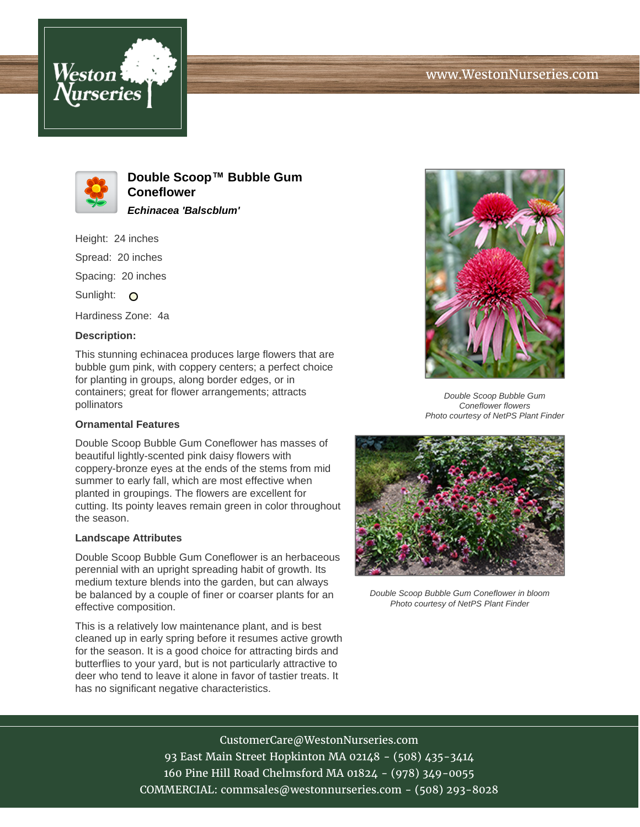



**Double Scoop™ Bubble Gum Coneflower Echinacea 'Balscblum'**

Height: 24 inches

Spread: 20 inches

Spacing: 20 inches

Sunlight: O

Hardiness Zone: 4a

## **Description:**

This stunning echinacea produces large flowers that are bubble gum pink, with coppery centers; a perfect choice for planting in groups, along border edges, or in containers; great for flower arrangements; attracts pollinators

## **Ornamental Features**

Double Scoop Bubble Gum Coneflower has masses of beautiful lightly-scented pink daisy flowers with coppery-bronze eyes at the ends of the stems from mid summer to early fall, which are most effective when planted in groupings. The flowers are excellent for cutting. Its pointy leaves remain green in color throughout the season.

## **Landscape Attributes**

Double Scoop Bubble Gum Coneflower is an herbaceous perennial with an upright spreading habit of growth. Its medium texture blends into the garden, but can always be balanced by a couple of finer or coarser plants for an effective composition.

This is a relatively low maintenance plant, and is best cleaned up in early spring before it resumes active growth for the season. It is a good choice for attracting birds and butterflies to your yard, but is not particularly attractive to deer who tend to leave it alone in favor of tastier treats. It has no significant negative characteristics.



Double Scoop Bubble Gum Coneflower flowers Photo courtesy of NetPS Plant Finder



Double Scoop Bubble Gum Coneflower in bloom Photo courtesy of NetPS Plant Finder

CustomerCare@WestonNurseries.com 93 East Main Street Hopkinton MA 02148 - (508) 435-3414 160 Pine Hill Road Chelmsford MA 01824 - (978) 349-0055 COMMERCIAL: commsales@westonnurseries.com - (508) 293-8028